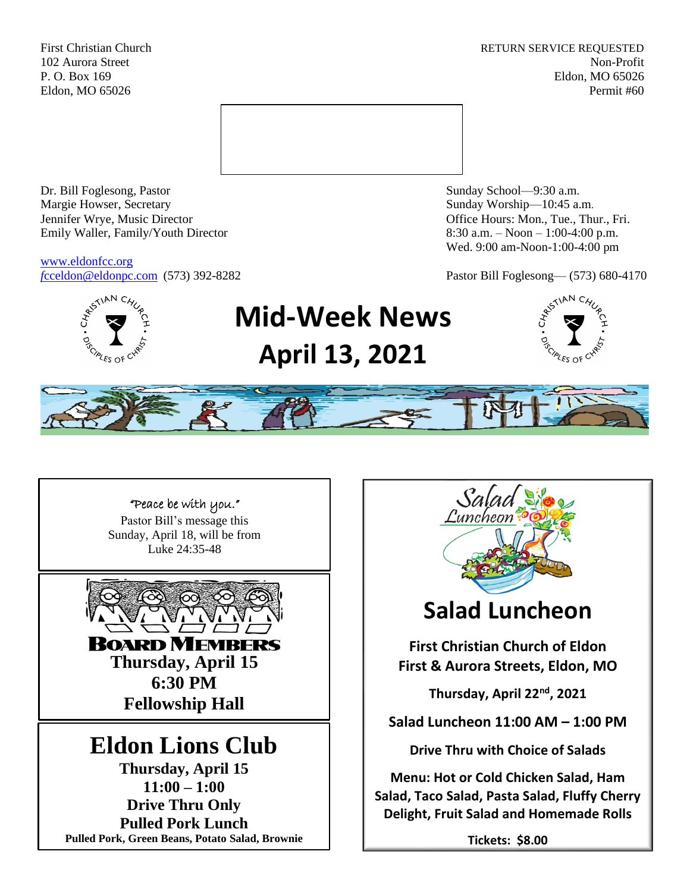First Christian Church **RETURN SERVICE REQUESTED** 102 Aurora Street Non-Profit P. O. Box 169 Eldon, MO 65026 Eldon, MO 65026 Permit #60



Dr. Bill Foglesong, Pastor Sunday School—9:30 a.m. Margie Howser, Secretary Sunday Worship—10:45 a.m. Jennifer Wrye, Music Director Office Hours: Mon., Tue., Thur., Fri. Emily Waller, Family/Youth Director 8:30 a.m. – Noon – 1:00-4:00 p.m.

[www.eldonfcc.org](http://www.eldonfcc.org/)

Wed. 9:00 am-Noon-1:00-4:00 pm

*f*[cceldon@eldonpc.com](mailto:fcceldon@eldonpc.com) (573) 392-8282 Pastor Bill Foglesong— (573) 680-4170



# **Mid-Week News April 13, 2021**